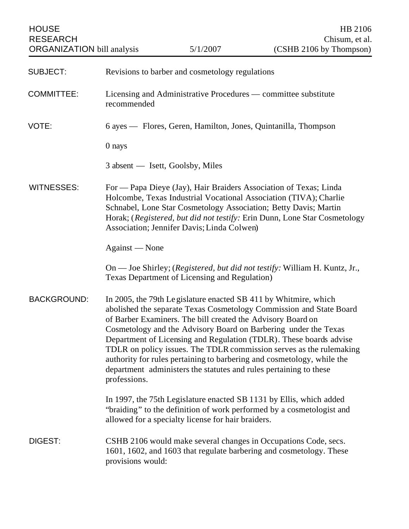ORGANIZATION bill analysis

| <b>SUBJECT:</b>    | Revisions to barber and cosmetology regulations                                                                                                                                                                                                                                                                                                                                                                                                                                                                                                                                      |
|--------------------|--------------------------------------------------------------------------------------------------------------------------------------------------------------------------------------------------------------------------------------------------------------------------------------------------------------------------------------------------------------------------------------------------------------------------------------------------------------------------------------------------------------------------------------------------------------------------------------|
| <b>COMMITTEE:</b>  | Licensing and Administrative Procedures — committee substitute<br>recommended                                                                                                                                                                                                                                                                                                                                                                                                                                                                                                        |
| VOTE:              | 6 ayes — Flores, Geren, Hamilton, Jones, Quintanilla, Thompson                                                                                                                                                                                                                                                                                                                                                                                                                                                                                                                       |
|                    | 0 nays                                                                                                                                                                                                                                                                                                                                                                                                                                                                                                                                                                               |
|                    | 3 absent — Isett, Goolsby, Miles                                                                                                                                                                                                                                                                                                                                                                                                                                                                                                                                                     |
| <b>WITNESSES:</b>  | For — Papa Dieye (Jay), Hair Braiders Association of Texas; Linda<br>Holcombe, Texas Industrial Vocational Association (TIVA); Charlie<br>Schnabel, Lone Star Cosmetology Association; Betty Davis; Martin<br>Horak; (Registered, but did not testify: Erin Dunn, Lone Star Cosmetology<br>Association; Jennifer Davis; Linda Colwen)                                                                                                                                                                                                                                                |
|                    | Against — None                                                                                                                                                                                                                                                                                                                                                                                                                                                                                                                                                                       |
|                    | On — Joe Shirley; (Registered, but did not testify: William H. Kuntz, Jr.,<br><b>Texas Department of Licensing and Regulation)</b>                                                                                                                                                                                                                                                                                                                                                                                                                                                   |
| <b>BACKGROUND:</b> | In 2005, the 79th Legislature enacted SB 411 by Whitmire, which<br>abolished the separate Texas Cosmetology Commission and State Board<br>of Barber Examiners. The bill created the Advisory Board on<br>Cosmetology and the Advisory Board on Barbering under the Texas<br>Department of Licensing and Regulation (TDLR). These boards advise<br>TDLR on policy issues. The TDLR commission serves as the rulemaking<br>authority for rules pertaining to barbering and cosmetology, while the<br>department administers the statutes and rules pertaining to these<br>professions. |
|                    | In 1997, the 75th Legislature enacted SB 1131 by Ellis, which added<br>"braiding" to the definition of work performed by a cosmetologist and<br>allowed for a specialty license for hair braiders.                                                                                                                                                                                                                                                                                                                                                                                   |
| <b>DIGEST:</b>     | CSHB 2106 would make several changes in Occupations Code, secs.<br>1601, 1602, and 1603 that regulate barbering and cosmetology. These<br>provisions would:                                                                                                                                                                                                                                                                                                                                                                                                                          |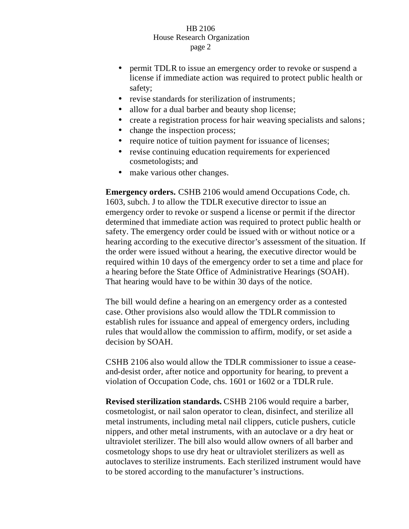- permit TDLR to issue an emergency order to revoke or suspend a license if immediate action was required to protect public health or safety;
- revise standards for sterilization of instruments;
- allow for a dual barber and beauty shop license;
- create a registration process for hair weaving specialists and salons;
- change the inspection process;
- require notice of tuition payment for issuance of licenses;
- revise continuing education requirements for experienced cosmetologists; and
- make various other changes.

**Emergency orders.** CSHB 2106 would amend Occupations Code, ch. 1603, subch. J to allow the TDLR executive director to issue an emergency order to revoke or suspend a license or permit if the director determined that immediate action was required to protect public health or safety. The emergency order could be issued with or without notice or a hearing according to the executive director's assessment of the situation. If the order were issued without a hearing, the executive director would be required within 10 days of the emergency order to set a time and place for a hearing before the State Office of Administrative Hearings (SOAH). That hearing would have to be within 30 days of the notice.

The bill would define a hearing on an emergency order as a contested case. Other provisions also would allow the TDLR commission to establish rules for issuance and appeal of emergency orders, including rules that would allow the commission to affirm, modify, or set aside a decision by SOAH.

CSHB 2106 also would allow the TDLR commissioner to issue a ceaseand-desist order, after notice and opportunity for hearing, to prevent a violation of Occupation Code, chs. 1601 or 1602 or a TDLR rule.

**Revised sterilization standards.** CSHB 2106 would require a barber, cosmetologist, or nail salon operator to clean, disinfect, and sterilize all metal instruments, including metal nail clippers, cuticle pushers, cuticle nippers, and other metal instruments, with an autoclave or a dry heat or ultraviolet sterilizer. The bill also would allow owners of all barber and cosmetology shops to use dry heat or ultraviolet sterilizers as well as autoclaves to sterilize instruments. Each sterilized instrument would have to be stored according to the manufacturer's instructions.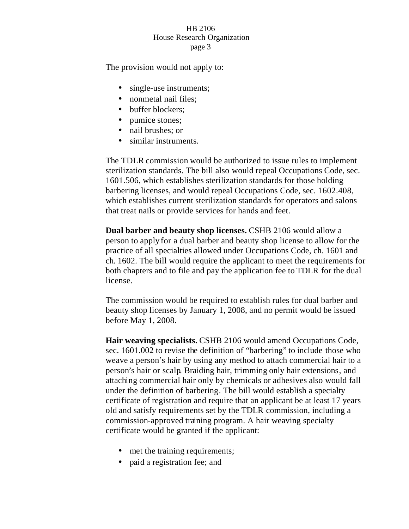The provision would not apply to:

- single-use instruments;
- nonmetal nail files;
- buffer blockers;
- pumice stones;
- nail brushes; or
- similar instruments.

The TDLR commission would be authorized to issue rules to implement sterilization standards. The bill also would repeal Occupations Code, sec. 1601.506, which establishes sterilization standards for those holding barbering licenses, and would repeal Occupations Code, sec. 1602.408, which establishes current sterilization standards for operators and salons that treat nails or provide services for hands and feet.

**Dual barber and beauty shop licenses.** CSHB 2106 would allow a person to apply for a dual barber and beauty shop license to allow for the practice of all specialties allowed under Occupations Code, ch. 1601 and ch. 1602. The bill would require the applicant to meet the requirements for both chapters and to file and pay the application fee to TDLR for the dual license.

The commission would be required to establish rules for dual barber and beauty shop licenses by January 1, 2008, and no permit would be issued before May 1, 2008.

**Hair weaving specialists.** CSHB 2106 would amend Occupations Code, sec. 1601.002 to revise the definition of "barbering" to include those who weave a person's hair by using any method to attach commercial hair to a person's hair or scalp. Braiding hair, trimming only hair extensions, and attaching commercial hair only by chemicals or adhesives also would fall under the definition of barbering. The bill would establish a specialty certificate of registration and require that an applicant be at least 17 years old and satisfy requirements set by the TDLR commission, including a commission-approved training program. A hair weaving specialty certificate would be granted if the applicant:

- met the training requirements;
- paid a registration fee; and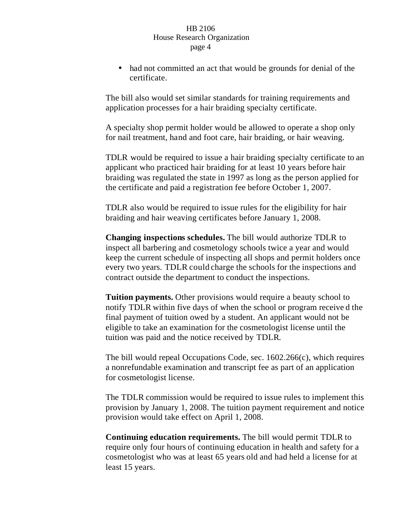• had not committed an act that would be grounds for denial of the certificate.

The bill also would set similar standards for training requirements and application processes for a hair braiding specialty certificate.

A specialty shop permit holder would be allowed to operate a shop only for nail treatment, hand and foot care, hair braiding, or hair weaving.

TDLR would be required to issue a hair braiding specialty certificate to an applicant who practiced hair braiding for at least 10 years before hair braiding was regulated the state in 1997 as long as the person applied for the certificate and paid a registration fee before October 1, 2007.

TDLR also would be required to issue rules for the eligibility for hair braiding and hair weaving certificates before January 1, 2008.

**Changing inspections schedules.** The bill would authorize TDLR to inspect all barbering and cosmetology schools twice a year and would keep the current schedule of inspecting all shops and permit holders once every two years. TDLR could charge the schools for the inspections and contract outside the department to conduct the inspections.

**Tuition payments.** Other provisions would require a beauty school to notify TDLR within five days of when the school or program receive d the final payment of tuition owed by a student. An applicant would not be eligible to take an examination for the cosmetologist license until the tuition was paid and the notice received by TDLR.

The bill would repeal Occupations Code, sec. 1602.266(c), which requires a nonrefundable examination and transcript fee as part of an application for cosmetologist license.

The TDLR commission would be required to issue rules to implement this provision by January 1, 2008. The tuition payment requirement and notice provision would take effect on April 1, 2008.

**Continuing education requirements.** The bill would permit TDLR to require only four hours of continuing education in health and safety for a cosmetologist who was at least 65 years old and had held a license for at least 15 years.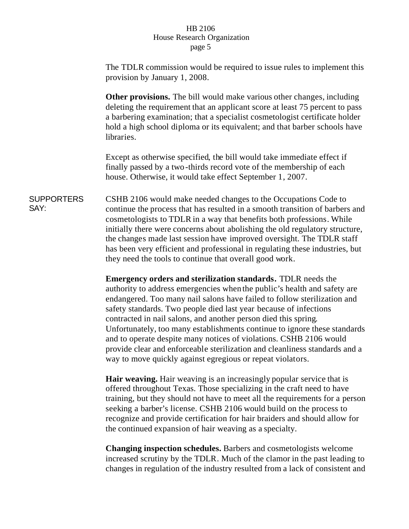The TDLR commission would be required to issue rules to implement this provision by January 1, 2008.

**Other provisions.** The bill would make various other changes, including deleting the requirement that an applicant score at least 75 percent to pass a barbering examination; that a specialist cosmetologist certificate holder hold a high school diploma or its equivalent; and that barber schools have libraries.

Except as otherwise specified, the bill would take immediate effect if finally passed by a two-thirds record vote of the membership of each house. Otherwise, it would take effect September 1, 2007.

**SUPPORTERS** SAY: CSHB 2106 would make needed changes to the Occupations Code to continue the process that has resulted in a smooth transition of barbers and cosmetologists to TDLR in a way that benefits both professions. While initially there were concerns about abolishing the old regulatory structure, the changes made last session have improved oversight. The TDLR staff has been very efficient and professional in regulating these industries, but they need the tools to continue that overall good work.

> **Emergency orders and sterilization standards.** TDLR needs the authority to address emergencies when the public's health and safety are endangered. Too many nail salons have failed to follow sterilization and safety standards. Two people died last year because of infections contracted in nail salons, and another person died this spring. Unfortunately, too many establishments continue to ignore these standards and to operate despite many notices of violations. CSHB 2106 would provide clear and enforceable sterilization and cleanliness standards and a way to move quickly against egregious or repeat violators.

> **Hair weaving.** Hair weaving is an increasingly popular service that is offered throughout Texas. Those specializing in the craft need to have training, but they should not have to meet all the requirements for a person seeking a barber's license. CSHB 2106 would build on the process to recognize and provide certification for hair braiders and should allow for the continued expansion of hair weaving as a specialty.

> **Changing inspection schedules.** Barbers and cosmetologists welcome increased scrutiny by the TDLR. Much of the clamor in the past leading to changes in regulation of the industry resulted from a lack of consistent and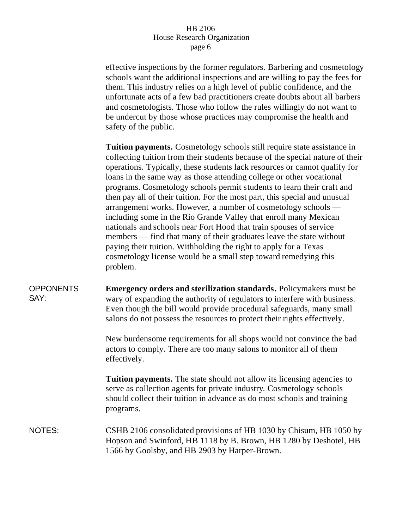effective inspections by the former regulators. Barbering and cosmetology schools want the additional inspections and are willing to pay the fees for them. This industry relies on a high level of public confidence, and the unfortunate acts of a few bad practitioners create doubts about all barbers and cosmetologists. Those who follow the rules willingly do not want to be undercut by those whose practices may compromise the health and safety of the public.

**Tuition payments.** Cosmetology schools still require state assistance in collecting tuition from their students because of the special nature of their operations. Typically, these students lack resources or cannot qualify for loans in the same way as those attending college or other vocational programs. Cosmetology schools permit students to learn their craft and then pay all of their tuition. For the most part, this special and unusual arrangement works. However, a number of cosmetology schools including some in the Rio Grande Valley that enroll many Mexican nationals and schools near Fort Hood that train spouses of service members — find that many of their graduates leave the state without paying their tuition. Withholding the right to apply for a Texas cosmetology license would be a small step toward remedying this problem.

#### **OPPONENTS** SAY: **Emergency orders and sterilization standards.** Policymakers must be wary of expanding the authority of regulators to interfere with business. Even though the bill would provide procedural safeguards, many small salons do not possess the resources to protect their rights effectively.

New burdensome requirements for all shops would not convince the bad actors to comply. There are too many salons to monitor all of them effectively.

**Tuition payments.** The state should not allow its licensing agencies to serve as collection agents for private industry. Cosmetology schools should collect their tuition in advance as do most schools and training programs.

# NOTES: CSHB 2106 consolidated provisions of HB 1030 by Chisum, HB 1050 by Hopson and Swinford, HB 1118 by B. Brown, HB 1280 by Deshotel, HB 1566 by Goolsby, and HB 2903 by Harper-Brown.